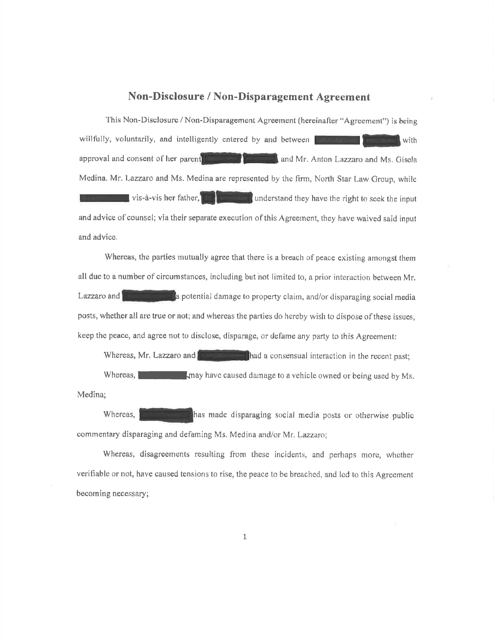# Non-Disclosure / Non-Disparagement Agreement

This Non-Disclosure / Non-Disparagement Agreement (hereinafter "Agreement") is being willfully, voluntarily, and intelligently entered by and between with approval and consent of her parent and Mr. Anton Lazzaro and Ms. Gisela Medina. Mr. Lazzaro and Ms. Medina are represented by the firm, North Star Law Group, while all understand they have the right to seek the input  $\blacksquare$  vis-à-vis her father. and advice of counsel; via their separate execution of this Agreement, they have waived said input and advice.

Whereas, the parties mutually agree that there is a breach of peace existing amongst them all due to a number of circumstances, including but not limited to, a prior interaction between Mr. a potential damage to property claim, and/or disparaging social media Lazzaro and posts, whether all are true or not; and whereas the parties do hereby wish to dispose of these issues, keep the peace, and agree not to disclose, disparage, or defame any party to this Agreement:

Whereas, Mr. Lazzaro and thad a consensual interaction in the recent past; Whereas, 1 may have caused damage to a vehicle owned or being used by Ms. Medina;

has made disparaging social media posts or otherwise public Whereas, commentary disparaging and defaming Ms. Medina and/or Mr. Lazzaro;

Whereas, disagreements resulting from these incidents, and perhaps more, whether verifiable or not, have caused tensions to rise, the peace to be breached, and led to this Agreement becoming necessary;

 $\mathbf{1}$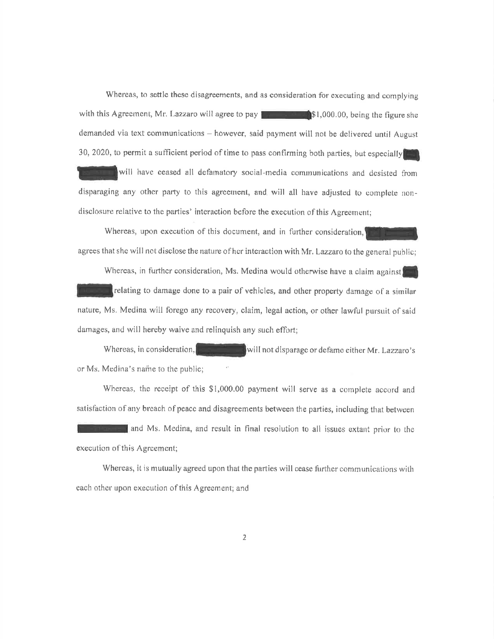Whereas, to settle these disagreements, and as consideration for executing and complying with this Agreement, Mr. Lazzaro will agree to pay  $\blacksquare$  \$1,000.00, being the figure she demanded via text communications - however, said payment will not be delivered until August 30, 2020, to permit a sufficient period of time to pass confirming both parties, but especially

will have ceased all defamatory social-media communications and desisted from disparaging any other party to this agreement, and will all have adjusted to complete nondisclosure relative to the parties' interaction before the execution of this Agreement;

Whereas, upon execution of this document, and in further consideration, agrees that she will not disclose the nature of her interaction with Mr. Lazzaro to the general public;

Whereas, in further consideration, Ms. Medina would otherwise have a claim against relating to damage done to a pair of vehicles, and other property damage of a similar nature, Ms. Medina will forego any recovery, claim, legal action, or other lawful pursuit of said damages, and will hereby waive and relinguish any such effort;

Whereas, in consideration, will not disparage or defame either Mr. Lazzaro's or Ms. Medina's name to the public;

Whereas, the receipt of this \$1,000.00 payment will serve as a complete accord and satisfaction of any breach of peace and disagreements between the parties, including that between

and Ms. Medina, and result in final resolution to all issues extant prior to the execution of this Agreement;

Whereas, it is mutually agreed upon that the parties will cease further communications with each other upon execution of this Agreement; and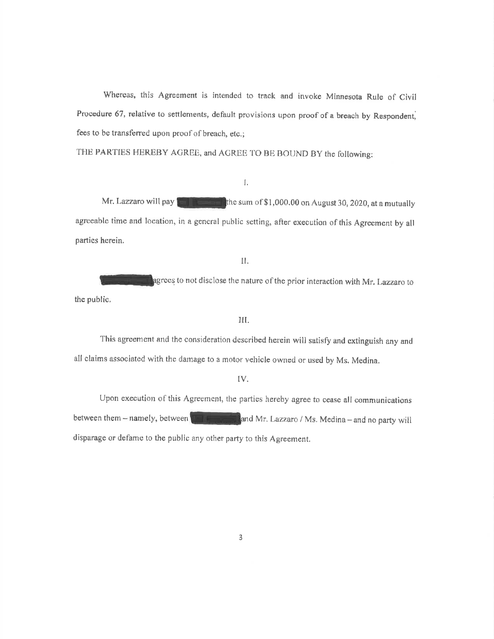Whereas, this Agreement is intended to track and invoke Minnesota Rule of Civil Procedure 67, relative to settlements, default provisions upon proof of a breach by Respondent, fees to be transferred upon proof of breach, etc.;

THE PARTIES HEREBY AGREE, and AGREE TO BE BOUND BY the following:

## I.

Mr. Lazzaro will pay  $\|\cdot\|$  the sum of \$1,000.00 on August 30, 2020, at a mutually agreeable time and location, in a general public setting, after execution of this Agreement by all parties hcrein.

#### II.

agrees to not disclose the nature of the prior interaction with Mr. Lazzaro to the public,

### III.

This agreement and the consideration described herein will satisfy and extinguish any and all claims associated with the damage to a motor vehicle owned or used by Ms. Medina.

### TV.

Upon execution of this Agreement, the parties hereby agree to cease all communications between them  $-$  namely, between  $\blacksquare$  and Mr. Lazzaro / Ms. Medina-and no party will disparage or defame to the public any other party to this Agreement.